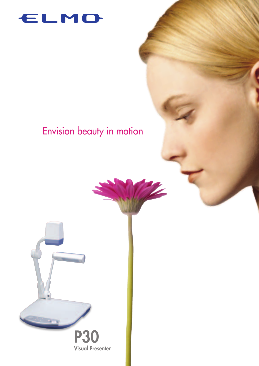

# Envision beauty in motion

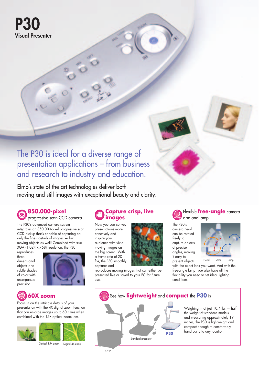The P30 is ideal for a diverse range of presentation applications – from business and research to industry and education.

Elmo's state-of-the-art technologies deliver both moving and still images with exceptional beauty and clarity.

### **850,000-pixel**  progressive scan CCD camera

The P30's advanced camera system integrates an 850,000-pixel progressive scan CCD pickup that's capable of capturing not only the finest details of images — but moving objects as well! Combined with true XGA (1,024 x 768) resolution, the P30

reproduces threedimensional objects and subtle shades of color with unsurpassed

precision.



#### **60X Zoom 60X zoom**

Focus in on the intricate details of your presentation with the 4X digital zoom function that can enlarge images up to 60 times when combined with the 15X optical zoom lens.





Optical 15X zoom Digital 4X zoom

## **Capture crisp, live images**

Now you can convey presentations more effectively and inspire your audience with vivid moving images on the big screen. With a frame rate of 20 fps, the P30 smoothly captures and



reproduces moving images that can either be presented live or saved to your PC for future use.



it easy to present objects

The P30's camera head can be rotated freely to capture objects at precise angles, making



 $-$  Head  $-$  Arm

with the exact look you want. And with the free-angle lamp, you also have all the flexibility you need to set ideal lighting conditions.



Weighing in at just 10.4 lbs — half the weight of standard models and measuring approximately 19 inches, the P30 is lightweight and compact enough to comfortably hand carry to any location.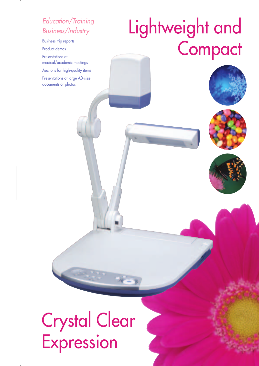## Business/Industry Education/Training

Product demos Presentations at medical/academic meetings Auctions for high-quality items Presentations of large A3-size documents or photos

# Lightweight and Business trip reports<br>Product demos<br>Presentations at







# Crystal Clear Expression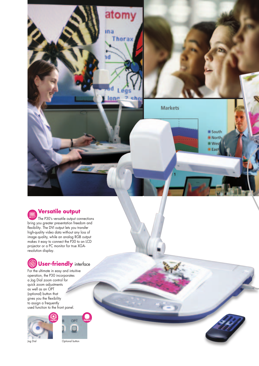



The P30's versatile output connections bring you greater presentation freedom and flexibility. The DVI output lets you transfer high-quality video data without any loss of image quality, while an analog RGB output makes it easy to connect the P30 to an LCD projector or a PC monitor for true XGAresolution display.

# **User-friendly** interface

For the ultimate in easy and intuitive operation, the P30 incorporates a Jog Dial zoom control for quick zoom adjustments as well as an OPT (optional) button that gives you the flexibility to assign a frequently used function to the front panel.



Jog Dial Optional button

**Jog Dial Optional**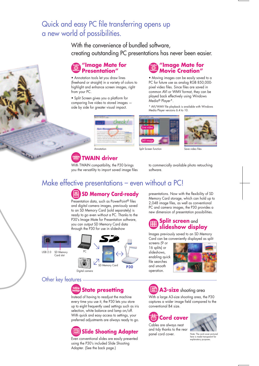## Quick and easy PC file transferring opens up a new world of possibilities.

With the convenience of bundled software, creating outstanding PC presentations has never been easier.

#### **Bundled Software "Image Mate for Presentation"**

• Annotation tools let you draw lines (freehand or straight) in a variety of colors to highlight and enhance screen images, right from your PC.

• Split Screen gives you a platform for comparing live video to stored images side by side for greater visual impact.



**Bundled Software "Image Mate for Movie Creation"**

• Moving images can be easily saved to a PC for future use as analog RGB 850,000pixel video files. Since files are saved in common AVI or WMV format, they can be played back effectively using Windows Media® Player\*.

\* AVI/WMV file playback is available with Windows Media Player versions 6.4 to 10.



Annotation Split Screen function Save video files

#### **TWAIN Driver TWAIN driver**

With TWAIN compatibility, the P30 brings you the versatility to import saved image files to commercially available photo retouching software.

# Make effective presentations – even without a PC!

## **SD Card SD Memory Card-ready**

Presentation data, such as PowerPoint® files and digital camera images, previously saved to an SD Memory Card (sold separately) is ready to go even without a PC. Thanks to the P30's Image Mate for Presentation software, you can output SD Memory Card data through the P30 for use in slideshow



## Other key features

**Setting Storage State presetting**

Instead of having to readjust the machine every time you use it, the P30 lets you store up to eight frequently used settings such as iris selection, white balance and lamp on/off. With quick and easy access to settings, your preferred adjustments are always ready to go.



Even conventional slides are easily presented using the P30's included Slide Shooting Adapter. (See the back page.)

presentations. Now with the flexibility of SD Memory Card storage, which can hold up to 2,048 image files, as well as conventional PC and camera images, the P30 provides a new dimension of presentation possibilities.

## **Split screen** and **slideshow display**

Images previously saved to an SD Memory Card can be conveniently displayed as split

screens (9 or 16 splits) or slideshows, enabling quick file searches and smooth operation.



#### **A3 Size A3-size** shooting area

With a large A3-size shooting area, the P30 captures a wider image field compared to the conventional B4 size.



Cables are always neat and tidy thanks to the rear panel cord cover.



Note: The cord cover pictured here is made transparent for explanatory purposes.